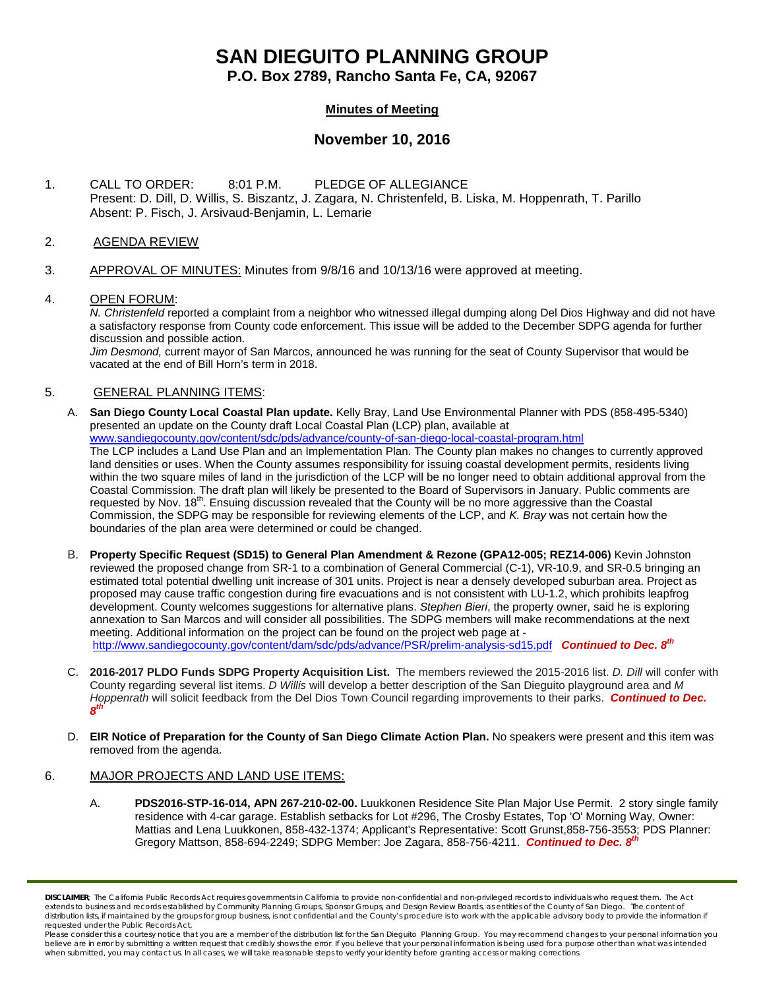# **SAN DIEGUITO PLANNING GROUP**

**P.O. Box 2789, Rancho Santa Fe, CA, 92067**

### **Minutes of Meeting**

## **November 10, 2016**

1. CALL TO ORDER: 8:01 P.M. PLEDGE OF ALLEGIANCE Present: D. Dill, D. Willis, S. Biszantz, J. Zagara, N. Christenfeld, B. Liska, M. Hoppenrath, T. Parillo Absent: P. Fisch, J. Arsivaud-Benjamin, L. Lemarie

#### 2. AGENDA REVIEW

3. APPROVAL OF MINUTES: Minutes from 9/8/16 and 10/13/16 were approved at meeting.

#### 4. OPEN FORUM:

*N. Christenfeld* reported a complaint from a neighbor who witnessed illegal dumping along Del Dios Highway and did not have a satisfactory response from County code enforcement. This issue will be added to the December SDPG agenda for further discussion and possible action.

*Jim Desmond,* current mayor of San Marcos, announced he was running for the seat of County Supervisor that would be vacated at the end of Bill Horn's term in 2018.

#### 5. GENERAL PLANNING ITEMS:

- A. **San Diego County Local Coastal Plan update.** Kelly Bray, Land Use Environmental Planner with PDS (858-495-5340) presented an update on the County draft Local Coastal Plan (LCP) plan, available at [www.sandiegocounty.gov/content/sdc/pds/advance/county-of-san-diego-local-coastal-program.html](http://www.sandiegocounty.gov/content/sdc/pds/advance/county-of-san-diego-local-coastal-program.html) The LCP includes a Land Use Plan and an Implementation Plan. The County plan makes no changes to currently approved land densities or uses. When the County assumes responsibility for issuing coastal development permits, residents living within the two square miles of land in the jurisdiction of the LCP will be no longer need to obtain additional approval from the Coastal Commission. The draft plan will likely be presented to the Board of Supervisors in January. Public comments are requested by Nov. 18<sup>th</sup>. Ensuing discussion revealed that the County will be no more aggressive than the Coastal Commission, the SDPG may be responsible for reviewing elements of the LCP, and *K. Bray* was not certain how the boundaries of the plan area were determined or could be changed.
- B. **Property Specific Request (SD15) to General Plan Amendment & Rezone (GPA12-005; REZ14-006)** Kevin Johnston reviewed the proposed change from SR-1 to a combination of General Commercial (C-1), VR-10.9, and SR-0.5 bringing an estimated total potential dwelling unit increase of 301 units. Project is near a densely developed suburban area. Project as proposed may cause traffic congestion during fire evacuations and is not consistent with LU-1.2, which prohibits leapfrog development. County welcomes suggestions for alternative plans. *Stephen Bieri*, the property owner, said he is exploring annexation to San Marcos and will consider all possibilities. The SDPG members will make recommendations at the next meeting. Additional information on the project can be found on the project web page at <http://www.sandiegocounty.gov/content/dam/sdc/pds/advance/PSR/prelim-analysis-sd15.pdf> *Continued to Dec. 8th*
- C. **2016-2017 PLDO Funds SDPG Property Acquisition List.** The members reviewed the 2015-2016 list. *D. Dill* will confer with County regarding several list items. *D Willis* will develop a better description of the San Dieguito playground area and *M Hoppenrath* will solicit feedback from the Del Dios Town Council regarding improvements to their parks. *Continued to Dec. 8th*
- D. **EIR Notice of Preparation for the County of San Diego Climate Action Plan.** No speakers were present and **t**his item was removed from the agenda.

#### 6. MAJOR PROJECTS AND LAND USE ITEMS:

A. **PDS2016-STP-16-014, APN 267-210-02-00.** Luukkonen Residence Site Plan Major Use Permit. 2 story single family residence with 4-car garage. Establish setbacks for Lot #296, The Crosby Estates, Top 'O' Morning Way, Owner: Mattias and Lena Luukkonen, [858-432-1374;](tel:858-432-1374) Applicant's Representative: Scott Gruns[t,858-756-3553;](tel:858-756-3553) PDS Planner: Gregory Mattson, [858-694-2249;](tel:858-694-2249) SDPG Member: Joe Zagara, [858-756-4211.](tel:858-756-4211) **Continued to Dec. 8**<sup>th</sup>

*DISCLAIMER; The California Public Records Act requires governments in California to provide non-confidential and non-privileged records to individuals who request them. The Act*  extends to business and records established by Community Planning Groups, Sponsor Groups, and Design Review Boards, as entities of the County of San Diego. The content of distribution lists, if maintained by the groups for group business, is not confidential and the County's procedure is to work with the applicable advisory body to provide the information if *requested under the Public Records Act.*

*Please consider this a courtesy notice that you are a member of the distribution list for the San Dieguito Planning Group. You may recommend changes to your personal information you*  believe are in error by submitting a written request that credibly shows the error. If you believe that your personal information is being used for a purpose other than what was intended<br>when submitted, you may contact us.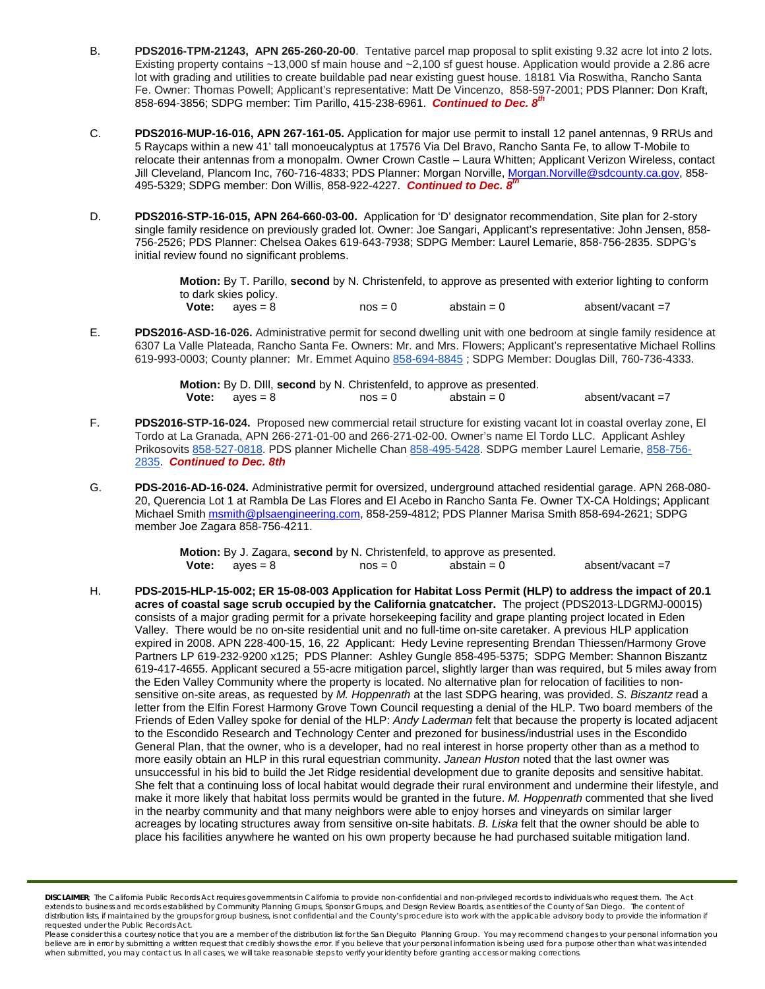- B. **PDS2016-TPM-21243, APN 265-260-20-00**. Tentative parcel map proposal to split existing 9.32 acre lot into 2 lots. Existing property contains ~13,000 sf main house and ~2,100 sf guest house. Application would provide a 2.86 acre lot with grading and utilities to create buildable pad near existing guest house. 18181 Via Roswitha, Rancho Santa Fe. Owner: Thomas Powell; Applicant's representative: Matt De Vincenzo, 858-597-2001; PDS Planner: Don Kraft, 858-694-3856; SDPG member: Tim Parillo, [415-238-6961.](tel:415-238-6961) *Continued to Dec. 8th*
- C. **PDS2016-MUP-16-016, APN 267-161-05.** Application for major use permit to install 12 panel antennas, 9 RRUs and 5 Raycaps within a new 41' tall monoeucalyptus at 17576 Via Del Bravo, Rancho Santa Fe, to allow T-Mobile to relocate their antennas from a monopalm. Owner Crown Castle – Laura Whitten; Applicant Verizon Wireless, contact Jill Cleveland, Plancom Inc, 760-716-4833; PDS Planner: Morgan Norville[, Morgan.Norville@sdcounty.ca.gov,](mailto:Morgan.Norville@sdcounty.ca.gov) 858-495-5329; SDPG member: Don Willis, 858-922-4227. *Continued to Dec. 8th*
- D. **PDS2016-STP-16-015, APN 264-660-03-00.** Application for 'D' designator recommendation, Site plan for 2-story single family residence on previously graded lot. Owner: Joe Sangari, Applicant's representative: John Jensen, 858- 756-2526; PDS Planner: Chelsea Oakes 619-643-7938; SDPG Member: Laurel Lemarie, 858-756-2835. SDPG's initial review found no significant problems.

**Motion:** By T. Parillo, **second** by N. Christenfeld, to approve as presented with exterior lighting to conform to dark skies policy.<br> **Vote:**  $a$  ves = 8  $\cos = 0$  abstain = 0  $\cos = \tan^{-1} x$ 

E. **PDS2016-ASD-16-026.** Administrative permit for second dwelling unit with one bedroom at single family residence at 6307 La Valle Plateada, Rancho Santa Fe. Owners: Mr. and Mrs. Flowers; Applicant's representative Michael Rollins 619-993-0003; County planner: Mr. Emmet Aquin[o 858-694-8845](tel:858-694-8845) ; SDPG Member: Douglas Dill, 760-736-4333.

| Motion: By D. Dill, second by N. Christenfeld, to approve as presented. |           |             |                  |
|-------------------------------------------------------------------------|-----------|-------------|------------------|
| <b>Vote:</b> $a$ ves = 8                                                | $nos = 0$ | abstain = 0 | absent/vacant =7 |

- F. **PDS2016-STP-16-024.** Proposed new commercial retail structure for existing vacant lot in coastal overlay zone, El Tordo at La Granada, APN 266-271-01-00 and 266-271-02-00. Owner's name El Tordo LLC. Applicant Ashley Prikosovits [858-527-0818.](tel:858-527-0818) PDS planner Michelle Chan [858-495-5428.](tel:858-495-5428) SDPG member Laurel Lemarie, [858-756-](tel:858-756-2835) [2835.](tel:858-756-2835) *Continued to Dec. 8th*
- G. **PDS-2016-AD-16-024.** Administrative permit for oversized, underground attached residential garage. APN 268-080- 20, Querencia Lot 1 at Rambla De Las Flores and El Acebo in Rancho Santa Fe. Owner TX-CA Holdings; Applicant Michael Smith [msmith@plsaengineering.com,](mailto:msmith@plsaengineering.com) 858-259-4812; PDS Planner Marisa Smith 858-694-2621; SDPG member Joe Zagar[a 858-756-4211.](tel:858-756-4211)

|                          | Motion: By J. Zagara, second by N. Christenfeld, to approve as presented. |                  |
|--------------------------|---------------------------------------------------------------------------|------------------|
| <b>Vote:</b> $a$ ves = 8 | abstain $= 0$<br>$nos = 0$                                                | absent/vacant =7 |

H. **PDS-2015-HLP-15-002; ER 15-08-003 Application for Habitat Loss Permit (HLP) to address the impact of 20.1 acres of coastal sage scrub occupied by the California gnatcatcher.** The project (PDS2013-LDGRMJ-00015) consists of a major grading permit for a private horsekeeping facility and grape planting project located in Eden Valley. There would be no on-site residential unit and no full-time on-site caretaker. A previous HLP application expired in 2008. APN 228-400-15, 16, 22 Applicant: Hedy Levine representing Brendan Thiessen/Harmony Grove Partners LP 619-232-9200 x125; PDS Planner: Ashley Gungle 858-495-5375; SDPG Member: Shannon Biszantz 619-417-4655. Applicant secured a 55-acre mitigation parcel, slightly larger than was required, but 5 miles away from the Eden Valley Community where the property is located. No alternative plan for relocation of facilities to nonsensitive on-site areas, as requested by *M. Hoppenrath* at the last SDPG hearing, was provided. *S. Biszantz* read a letter from the Elfin Forest Harmony Grove Town Council requesting a denial of the HLP. Two board members of the Friends of Eden Valley spoke for denial of the HLP: *Andy Laderman* felt that because the property is located adjacent to the Escondido Research and Technology Center and prezoned for business/industrial uses in the Escondido General Plan, that the owner, who is a developer, had no real interest in horse property other than as a method to more easily obtain an HLP in this rural equestrian community. *Janean Huston* noted that the last owner was unsuccessful in his bid to build the Jet Ridge residential development due to granite deposits and sensitive habitat. She felt that a continuing loss of local habitat would degrade their rural environment and undermine their lifestyle, and make it more likely that habitat loss permits would be granted in the future. *M. Hoppenrath* commented that she lived in the nearby community and that many neighbors were able to enjoy horses and vineyards on similar larger acreages by locating structures away from sensitive on-site habitats. *B. Liska* felt that the owner should be able to place his facilities anywhere he wanted on his own property because he had purchased suitable mitigation land.

*DISCLAIMER; The California Public Records Act requires governments in California to provide non-confidential and non-privileged records to individuals who request them. The Act*  extends to business and records established by Community Planning Groups, Sponsor Groups, and Design Review Boards, as entities of the County of San Diego. The content of distribution lists, if maintained by the groups for group business, is not confidential and the County's procedure is to work with the applicable advisory body to provide the information if *requested under the Public Records Act.*

*Please consider this a courtesy notice that you are a member of the distribution list for the San Dieguito Planning Group. You may recommend changes to your personal information you*  believe are in error by submitting a written request that credibly shows the error. If you believe that your personal information is being used for a purpose other than what was intended<br>when submitted, you may contact us.